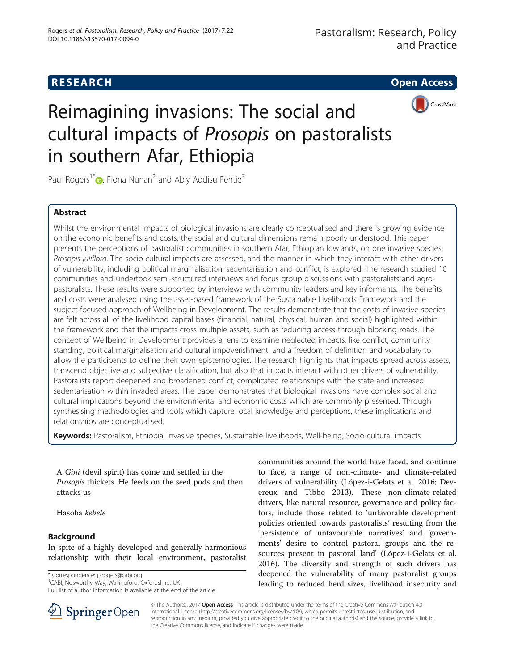## **RESEARCH CHE Open Access**



# Reimagining invasions: The social and cultural impacts of Prosopis on pastoralists in southern Afar, Ethiopia

Paul Rogers<sup>1[\\*](http://orcid.org/0000-0003-2181-3679)</sup> $\bullet$ , Fiona Nunan<sup>2</sup> and Abiy Addisu Fentie<sup>3</sup>

## Abstract

Whilst the environmental impacts of biological invasions are clearly conceptualised and there is growing evidence on the economic benefits and costs, the social and cultural dimensions remain poorly understood. This paper presents the perceptions of pastoralist communities in southern Afar, Ethiopian lowlands, on one invasive species, Prosopis juliflora. The socio-cultural impacts are assessed, and the manner in which they interact with other drivers of vulnerability, including political marginalisation, sedentarisation and conflict, is explored. The research studied 10 communities and undertook semi-structured interviews and focus group discussions with pastoralists and agropastoralists. These results were supported by interviews with community leaders and key informants. The benefits and costs were analysed using the asset-based framework of the Sustainable Livelihoods Framework and the subject-focused approach of Wellbeing in Development. The results demonstrate that the costs of invasive species are felt across all of the livelihood capital bases (financial, natural, physical, human and social) highlighted within the framework and that the impacts cross multiple assets, such as reducing access through blocking roads. The concept of Wellbeing in Development provides a lens to examine neglected impacts, like conflict, community standing, political marginalisation and cultural impoverishment, and a freedom of definition and vocabulary to allow the participants to define their own epistemologies. The research highlights that impacts spread across assets, transcend objective and subjective classification, but also that impacts interact with other drivers of vulnerability. Pastoralists report deepened and broadened conflict, complicated relationships with the state and increased sedentarisation within invaded areas. The paper demonstrates that biological invasions have complex social and cultural implications beyond the environmental and economic costs which are commonly presented. Through synthesising methodologies and tools which capture local knowledge and perceptions, these implications and relationships are conceptualised.

Keywords: Pastoralism, Ethiopia, Invasive species, Sustainable livelihoods, Well-being, Socio-cultural impacts

A Gini (devil spirit) has come and settled in the Prosopis thickets. He feeds on the seed pods and then attacks us

Hasoba kebele

## Background

In spite of a highly developed and generally harmonious relationship with their local environment, pastoralist

\* Correspondence: [p.rogers@cabi.org](mailto:p.rogers@cabi.org) <sup>1</sup>

Full list of author information is available at the end of the article

communities around the world have faced, and continue to face, a range of non-climate- and climate-related drivers of vulnerability (López-i-Gelats et al. [2016](#page-11-0); Devereux and Tibbo [2013\)](#page-11-0). These non-climate-related drivers, like natural resource, governance and policy factors, include those related to 'unfavorable development policies oriented towards pastoralists' resulting from the 'persistence of unfavourable narratives' and 'governments' desire to control pastoral groups and the resources present in pastoral land' (López-i-Gelats et al. [2016](#page-11-0)). The diversity and strength of such drivers has deepened the vulnerability of many pastoralist groups leading to reduced herd sizes, livelihood insecurity and



© The Author(s). 2017 Open Access This article is distributed under the terms of the Creative Commons Attribution 4.0 International License ([http://creativecommons.org/licenses/by/4.0/\)](http://creativecommons.org/licenses/by/4.0/), which permits unrestricted use, distribution, and reproduction in any medium, provided you give appropriate credit to the original author(s) and the source, provide a link to the Creative Commons license, and indicate if changes were made.

<sup>&</sup>lt;sup>1</sup>CABI, Nosworthy Way, Wallingford, Oxfordshire, UK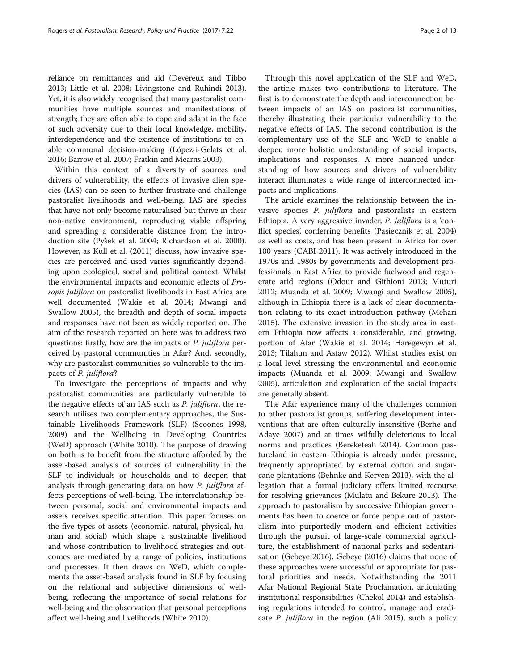reliance on remittances and aid (Devereux and Tibbo [2013;](#page-11-0) Little et al. [2008;](#page-11-0) Livingstone and Ruhindi [2013](#page-11-0)). Yet, it is also widely recognised that many pastoralist communities have multiple sources and manifestations of strength; they are often able to cope and adapt in the face of such adversity due to their local knowledge, mobility, interdependence and the existence of institutions to enable communal decision-making (López-i-Gelats et al. [2016;](#page-11-0) Barrow et al. [2007](#page-11-0); Fratkin and Mearns [2003\)](#page-11-0).

Within this context of a diversity of sources and drivers of vulnerability, the effects of invasive alien species (IAS) can be seen to further frustrate and challenge pastoralist livelihoods and well-being. IAS are species that have not only become naturalised but thrive in their non-native environment, reproducing viable offspring and spreading a considerable distance from the introduction site (Pyšek et al. [2004;](#page-11-0) Richardson et al. [2000](#page-12-0)). However, as Kull et al. ([2011](#page-11-0)) discuss, how invasive species are perceived and used varies significantly depending upon ecological, social and political context. Whilst the environmental impacts and economic effects of Prosopis juliflora on pastoralist livelihoods in East Africa are well documented (Wakie et al. [2014;](#page-12-0) Mwangi and Swallow [2005](#page-11-0)), the breadth and depth of social impacts and responses have not been as widely reported on. The aim of the research reported on here was to address two questions: firstly, how are the impacts of P. juliflora perceived by pastoral communities in Afar? And, secondly, why are pastoralist communities so vulnerable to the impacts of P. juliflora?

To investigate the perceptions of impacts and why pastoralist communities are particularly vulnerable to the negative effects of an IAS such as *P. juliflora*, the research utilises two complementary approaches, the Sustainable Livelihoods Framework (SLF) (Scoones [1998](#page-12-0), [2009](#page-12-0)) and the Wellbeing in Developing Countries (WeD) approach (White [2010](#page-12-0)). The purpose of drawing on both is to benefit from the structure afforded by the asset-based analysis of sources of vulnerability in the SLF to individuals or households and to deepen that analysis through generating data on how P. juliflora affects perceptions of well-being. The interrelationship between personal, social and environmental impacts and assets receives specific attention. This paper focuses on the five types of assets (economic, natural, physical, human and social) which shape a sustainable livelihood and whose contribution to livelihood strategies and outcomes are mediated by a range of policies, institutions and processes. It then draws on WeD, which complements the asset-based analysis found in SLF by focusing on the relational and subjective dimensions of wellbeing, reflecting the importance of social relations for well-being and the observation that personal perceptions affect well-being and livelihoods (White [2010\)](#page-12-0).

Through this novel application of the SLF and WeD, the article makes two contributions to literature. The first is to demonstrate the depth and interconnection between impacts of an IAS on pastoralist communities, thereby illustrating their particular vulnerability to the negative effects of IAS. The second contribution is the complementary use of the SLF and WeD to enable a deeper, more holistic understanding of social impacts, implications and responses. A more nuanced understanding of how sources and drivers of vulnerability interact illuminates a wide range of interconnected impacts and implications.

The article examines the relationship between the invasive species P. juliflora and pastoralists in eastern Ethiopia. A very aggressive invader, P. Juliflora is a 'conflict species', conferring benefits (Pasiecznik et al. [2004](#page-11-0)) as well as costs, and has been present in Africa for over 100 years (CABI [2011\)](#page-11-0). It was actively introduced in the 1970s and 1980s by governments and development professionals in East Africa to provide fuelwood and regenerate arid regions (Odour and Githioni [2013;](#page-11-0) Muturi [2012](#page-11-0); Muanda et al. [2009](#page-11-0); Mwangi and Swallow [2005](#page-11-0)), although in Ethiopia there is a lack of clear documentation relating to its exact introduction pathway (Mehari [2015](#page-11-0)). The extensive invasion in the study area in eastern Ethiopia now affects a considerable, and growing, portion of Afar (Wakie et al. [2014](#page-12-0); Haregewyn et al. [2013](#page-11-0); Tilahun and Asfaw [2012](#page-12-0)). Whilst studies exist on a local level stressing the environmental and economic impacts (Muanda et al. [2009;](#page-11-0) Mwangi and Swallow [2005](#page-11-0)), articulation and exploration of the social impacts are generally absent.

The Afar experience many of the challenges common to other pastoralist groups, suffering development interventions that are often culturally insensitive (Berhe and Adaye [2007\)](#page-11-0) and at times wilfully deleterious to local norms and practices (Bereketeah [2014](#page-11-0)). Common pastureland in eastern Ethiopia is already under pressure, frequently appropriated by external cotton and sugarcane plantations (Behnke and Kerven [2013](#page-11-0)), with the allegation that a formal judiciary offers limited recourse for resolving grievances (Mulatu and Bekure [2013](#page-11-0)). The approach to pastoralism by successive Ethiopian governments has been to coerce or force people out of pastoralism into purportedly modern and efficient activities through the pursuit of large-scale commercial agriculture, the establishment of national parks and sedentarisation (Gebeye [2016](#page-11-0)). Gebeye ([2016\)](#page-11-0) claims that none of these approaches were successful or appropriate for pastoral priorities and needs. Notwithstanding the 2011 Afar National Regional State Proclamation, articulating institutional responsibilities (Chekol [2014\)](#page-11-0) and establishing regulations intended to control, manage and eradicate P. juliflora in the region (Ali [2015\)](#page-11-0), such a policy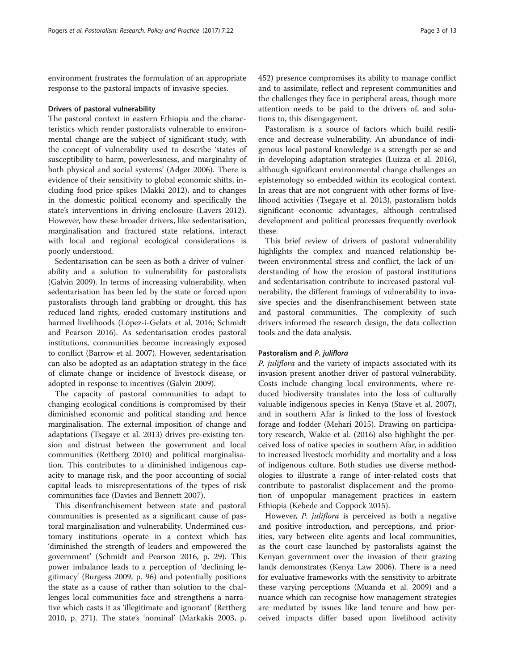environment frustrates the formulation of an appropriate response to the pastoral impacts of invasive species.

#### Drivers of pastoral vulnerability

The pastoral context in eastern Ethiopia and the characteristics which render pastoralists vulnerable to environmental change are the subject of significant study, with the concept of vulnerability used to describe 'states of susceptibility to harm, powerlessness, and marginality of both physical and social systems' (Adger [2006\)](#page-11-0). There is evidence of their sensitivity to global economic shifts, including food price spikes (Makki [2012\)](#page-11-0), and to changes in the domestic political economy and specifically the state's interventions in driving enclosure (Lavers [2012](#page-11-0)). However, how these broader drivers, like sedentarisation, marginalisation and fractured state relations, interact with local and regional ecological considerations is poorly understood.

Sedentarisation can be seen as both a driver of vulnerability and a solution to vulnerability for pastoralists (Galvin [2009](#page-11-0)). In terms of increasing vulnerability, when sedentarisation has been led by the state or forced upon pastoralists through land grabbing or drought, this has reduced land rights, eroded customary institutions and harmed livelihoods (López-i-Gelats et al. [2016;](#page-11-0) Schmidt and Pearson [2016\)](#page-12-0). As sedentarisation erodes pastoral institutions, communities become increasingly exposed to conflict (Barrow et al. [2007\)](#page-11-0). However, sedentarisation can also be adopted as an adaptation strategy in the face of climate change or incidence of livestock disease, or adopted in response to incentives (Galvin [2009](#page-11-0)).

The capacity of pastoral communities to adapt to changing ecological conditions is compromised by their diminished economic and political standing and hence marginalisation. The external imposition of change and adaptations (Tsegaye et al. [2013](#page-12-0)) drives pre-existing tension and distrust between the government and local communities (Rettberg [2010](#page-12-0)) and political marginalisation. This contributes to a diminished indigenous capacity to manage risk, and the poor accounting of social capital leads to misrepresentations of the types of risk communities face (Davies and Bennett [2007\)](#page-11-0).

This disenfranchisement between state and pastoral communities is presented as a significant cause of pastoral marginalisation and vulnerability. Undermined customary institutions operate in a context which has 'diminished the strength of leaders and empowered the government' (Schmidt and Pearson [2016](#page-12-0), p. 29). This power imbalance leads to a perception of 'declining legitimacy' (Burgess [2009,](#page-11-0) p. 96) and potentially positions the state as a cause of rather than solution to the challenges local communities face and strengthens a narrative which casts it as 'illegitimate and ignorant' (Rettberg [2010](#page-12-0), p. 271). The state's 'nominal' (Markakis [2003](#page-11-0), p. 452) presence compromises its ability to manage conflict and to assimilate, reflect and represent communities and the challenges they face in peripheral areas, though more attention needs to be paid to the drivers of, and solutions to, this disengagement.

Pastoralism is a source of factors which build resilience and decrease vulnerability. An abundance of indigenous local pastoral knowledge is a strength per se and in developing adaptation strategies (Luizza et al. [2016](#page-11-0)), although significant environmental change challenges an epistemology so embedded within its ecological context. In areas that are not congruent with other forms of livelihood activities (Tsegaye et al. [2013\)](#page-12-0), pastoralism holds significant economic advantages, although centralised development and political processes frequently overlook these.

This brief review of drivers of pastoral vulnerability highlights the complex and nuanced relationship between environmental stress and conflict, the lack of understanding of how the erosion of pastoral institutions and sedentarisation contribute to increased pastoral vulnerability, the different framings of vulnerability to invasive species and the disenfranchisement between state and pastoral communities. The complexity of such drivers informed the research design, the data collection tools and the data analysis.

#### Pastoralism and P. juliflora

P. juliflora and the variety of impacts associated with its invasion present another driver of pastoral vulnerability. Costs include changing local environments, where reduced biodiversity translates into the loss of culturally valuable indigenous species in Kenya (Stave et al. [2007](#page-12-0)), and in southern Afar is linked to the loss of livestock forage and fodder (Mehari [2015\)](#page-11-0). Drawing on participatory research, Wakie et al. [\(2016](#page-12-0)) also highlight the perceived loss of native species in southern Afar, in addition to increased livestock morbidity and mortality and a loss of indigenous culture. Both studies use diverse methodologies to illustrate a range of inter-related costs that contribute to pastoralist displacement and the promotion of unpopular management practices in eastern Ethiopia (Kebede and Coppock [2015\)](#page-11-0).

However, P. juliflora is perceived as both a negative and positive introduction, and perceptions, and priorities, vary between elite agents and local communities, as the court case launched by pastoralists against the Kenyan government over the invasion of their grazing lands demonstrates (Kenya Law [2006](#page-11-0)). There is a need for evaluative frameworks with the sensitivity to arbitrate these varying perceptions (Muanda et al. [2009](#page-11-0)) and a nuance which can recognise how management strategies are mediated by issues like land tenure and how perceived impacts differ based upon livelihood activity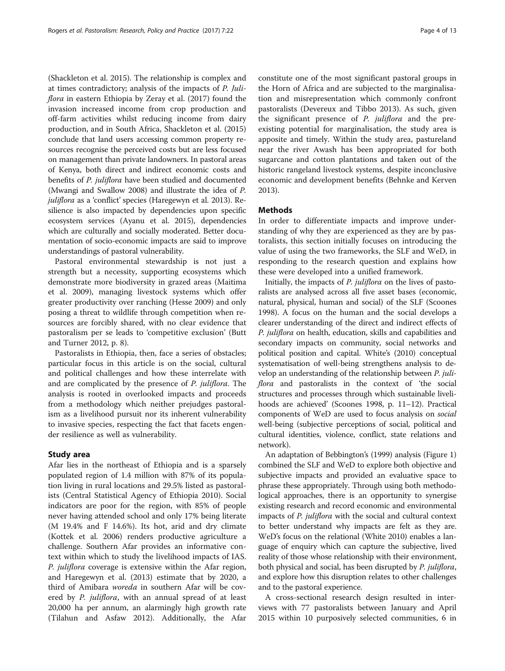(Shackleton et al. [2015\)](#page-12-0). The relationship is complex and at times contradictory; analysis of the impacts of P. Juli-flora in eastern Ethiopia by Zeray et al. ([2017](#page-12-0)) found the invasion increased income from crop production and off-farm activities whilst reducing income from dairy production, and in South Africa, Shackleton et al. ([2015](#page-12-0)) conclude that land users accessing common property resources recognise the perceived costs but are less focused on management than private landowners. In pastoral areas of Kenya, both direct and indirect economic costs and benefits of P. juliflora have been studied and documented (Mwangi and Swallow [2008\)](#page-11-0) and illustrate the idea of P. juliflora as a 'conflict' species (Haregewyn et al. [2013\)](#page-11-0). Resilience is also impacted by dependencies upon specific ecosystem services (Ayanu et al. [2015](#page-11-0)), dependencies which are culturally and socially moderated. Better documentation of socio-economic impacts are said to improve understandings of pastoral vulnerability.

Pastoral environmental stewardship is not just a strength but a necessity, supporting ecosystems which demonstrate more biodiversity in grazed areas (Maitima et al. [2009](#page-11-0)), managing livestock systems which offer greater productivity over ranching (Hesse [2009](#page-11-0)) and only posing a threat to wildlife through competition when resources are forcibly shared, with no clear evidence that pastoralism per se leads to 'competitive exclusion' (Butt and Turner [2012](#page-11-0), p. 8).

Pastoralists in Ethiopia, then, face a series of obstacles; particular focus in this article is on the social, cultural and political challenges and how these interrelate with and are complicated by the presence of P. juliflora. The analysis is rooted in overlooked impacts and proceeds from a methodology which neither prejudges pastoralism as a livelihood pursuit nor its inherent vulnerability to invasive species, respecting the fact that facets engender resilience as well as vulnerability.

## Study area

Afar lies in the northeast of Ethiopia and is a sparsely populated region of 1.4 million with 87% of its population living in rural locations and 29.5% listed as pastoralists (Central Statistical Agency of Ethiopia [2010](#page-11-0)). Social indicators are poor for the region, with 85% of people never having attended school and only 17% being literate (M 19.4% and F 14.6%). Its hot, arid and dry climate (Kottek et al. [2006](#page-11-0)) renders productive agriculture a challenge. Southern Afar provides an informative context within which to study the livelihood impacts of IAS. P. juliflora coverage is extensive within the Afar region, and Haregewyn et al. [\(2013\)](#page-11-0) estimate that by 2020, a third of Amibara woreda in southern Afar will be covered by P. juliflora, with an annual spread of at least 20,000 ha per annum, an alarmingly high growth rate (Tilahun and Asfaw [2012\)](#page-12-0). Additionally, the Afar constitute one of the most significant pastoral groups in the Horn of Africa and are subjected to the marginalisation and misrepresentation which commonly confront pastoralists (Devereux and Tibbo [2013\)](#page-11-0). As such, given the significant presence of P. juliflora and the preexisting potential for marginalisation, the study area is apposite and timely. Within the study area, pastureland near the river Awash has been appropriated for both sugarcane and cotton plantations and taken out of the historic rangeland livestock systems, despite inconclusive economic and development benefits (Behnke and Kerven [2013](#page-11-0)).

## **Methods**

In order to differentiate impacts and improve understanding of why they are experienced as they are by pastoralists, this section initially focuses on introducing the value of using the two frameworks, the SLF and WeD, in responding to the research question and explains how these were developed into a unified framework.

Initially, the impacts of P. juliflora on the lives of pastoralists are analysed across all five asset bases (economic, natural, physical, human and social) of the SLF (Scoones [1998](#page-12-0)). A focus on the human and the social develops a clearer understanding of the direct and indirect effects of P. juliflora on health, education, skills and capabilities and secondary impacts on community, social networks and political position and capital. White's [\(2010](#page-12-0)) conceptual systematisation of well-being strengthens analysis to develop an understanding of the relationship between P. juliflora and pastoralists in the context of 'the social structures and processes through which sustainable livelihoods are achieved' (Scoones [1998,](#page-12-0) p. 11–12). Practical components of WeD are used to focus analysis on social well-being (subjective perceptions of social, political and cultural identities, violence, conflict, state relations and network).

An adaptation of Bebbington's ([1999\)](#page-11-0) analysis (Figure [1](#page-4-0)) combined the SLF and WeD to explore both objective and subjective impacts and provided an evaluative space to phrase these appropriately. Through using both methodological approaches, there is an opportunity to synergise existing research and record economic and environmental impacts of P. *juliflora* with the social and cultural context to better understand why impacts are felt as they are. WeD's focus on the relational (White [2010](#page-12-0)) enables a language of enquiry which can capture the subjective, lived reality of those whose relationship with their environment, both physical and social, has been disrupted by P. juliflora, and explore how this disruption relates to other challenges and to the pastoral experience.

A cross-sectional research design resulted in interviews with 77 pastoralists between January and April 2015 within 10 purposively selected communities, 6 in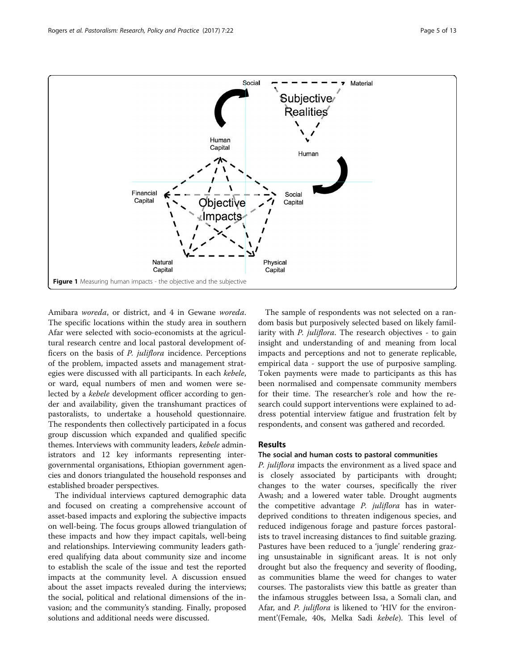<span id="page-4-0"></span>

Amibara woreda, or district, and 4 in Gewane woreda. The specific locations within the study area in southern Afar were selected with socio-economists at the agricultural research centre and local pastoral development officers on the basis of P. juliflora incidence. Perceptions of the problem, impacted assets and management strategies were discussed with all participants. In each kebele, or ward, equal numbers of men and women were selected by a kebele development officer according to gender and availability, given the transhumant practices of pastoralists, to undertake a household questionnaire. The respondents then collectively participated in a focus group discussion which expanded and qualified specific themes. Interviews with community leaders, kebele administrators and 12 key informants representing intergovernmental organisations, Ethiopian government agencies and donors triangulated the household responses and established broader perspectives.

The individual interviews captured demographic data and focused on creating a comprehensive account of asset-based impacts and exploring the subjective impacts on well-being. The focus groups allowed triangulation of these impacts and how they impact capitals, well-being and relationships. Interviewing community leaders gathered qualifying data about community size and income to establish the scale of the issue and test the reported impacts at the community level. A discussion ensued about the asset impacts revealed during the interviews; the social, political and relational dimensions of the invasion; and the community's standing. Finally, proposed solutions and additional needs were discussed.

The sample of respondents was not selected on a random basis but purposively selected based on likely familiarity with P. juliflora. The research objectives - to gain insight and understanding of and meaning from local impacts and perceptions and not to generate replicable, empirical data - support the use of purposive sampling. Token payments were made to participants as this has been normalised and compensate community members for their time. The researcher's role and how the research could support interventions were explained to address potential interview fatigue and frustration felt by respondents, and consent was gathered and recorded.

### Results

## The social and human costs to pastoral communities

P. juliflora impacts the environment as a lived space and is closely associated by participants with drought; changes to the water courses, specifically the river Awash; and a lowered water table. Drought augments the competitive advantage P. juliflora has in waterdeprived conditions to threaten indigenous species, and reduced indigenous forage and pasture forces pastoralists to travel increasing distances to find suitable grazing. Pastures have been reduced to a 'jungle' rendering grazing unsustainable in significant areas. It is not only drought but also the frequency and severity of flooding, as communities blame the weed for changes to water courses. The pastoralists view this battle as greater than the infamous struggles between Issa, a Somali clan, and Afar, and *P. juliflora* is likened to 'HIV for the environment'(Female, 40s, Melka Sadi kebele). This level of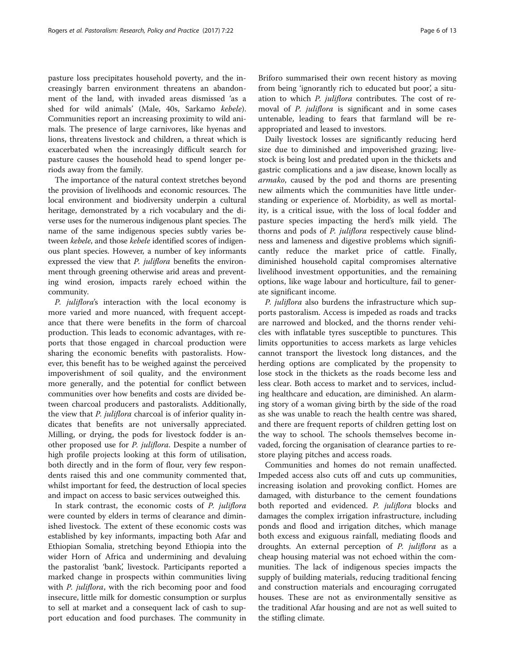pasture loss precipitates household poverty, and the increasingly barren environment threatens an abandonment of the land, with invaded areas dismissed 'as a shed for wild animals' (Male, 40s, Sarkamo kebele). Communities report an increasing proximity to wild animals. The presence of large carnivores, like hyenas and lions, threatens livestock and children, a threat which is exacerbated when the increasingly difficult search for pasture causes the household head to spend longer periods away from the family.

The importance of the natural context stretches beyond the provision of livelihoods and economic resources. The local environment and biodiversity underpin a cultural heritage, demonstrated by a rich vocabulary and the diverse uses for the numerous indigenous plant species. The name of the same indigenous species subtly varies between kebele, and those kebele identified scores of indigenous plant species. However, a number of key informants expressed the view that *P. juliflora* benefits the environment through greening otherwise arid areas and preventing wind erosion, impacts rarely echoed within the community.

P. juliflora's interaction with the local economy is more varied and more nuanced, with frequent acceptance that there were benefits in the form of charcoal production. This leads to economic advantages, with reports that those engaged in charcoal production were sharing the economic benefits with pastoralists. However, this benefit has to be weighed against the perceived impoverishment of soil quality, and the environment more generally, and the potential for conflict between communities over how benefits and costs are divided between charcoal producers and pastoralists. Additionally, the view that *P. juliflora* charcoal is of inferior quality indicates that benefits are not universally appreciated. Milling, or drying, the pods for livestock fodder is another proposed use for P. juliflora. Despite a number of high profile projects looking at this form of utilisation, both directly and in the form of flour, very few respondents raised this and one community commented that, whilst important for feed, the destruction of local species and impact on access to basic services outweighed this.

In stark contrast, the economic costs of P. juliflora were counted by elders in terms of clearance and diminished livestock. The extent of these economic costs was established by key informants, impacting both Afar and Ethiopian Somalia, stretching beyond Ethiopia into the wider Horn of Africa and undermining and devaluing the pastoralist 'bank', livestock. Participants reported a marked change in prospects within communities living with *P. juliflora*, with the rich becoming poor and food insecure, little milk for domestic consumption or surplus to sell at market and a consequent lack of cash to support education and food purchases. The community in

Briforo summarised their own recent history as moving from being 'ignorantly rich to educated but poor', a situation to which P. juliflora contributes. The cost of removal of *P. juliflora* is significant and in some cases untenable, leading to fears that farmland will be reappropriated and leased to investors.

Daily livestock losses are significantly reducing herd size due to diminished and impoverished grazing; livestock is being lost and predated upon in the thickets and gastric complications and a jaw disease, known locally as armako, caused by the pod and thorns are presenting new ailments which the communities have little understanding or experience of. Morbidity, as well as mortality, is a critical issue, with the loss of local fodder and pasture species impacting the herd's milk yield. The thorns and pods of P. juliflora respectively cause blindness and lameness and digestive problems which significantly reduce the market price of cattle. Finally, diminished household capital compromises alternative livelihood investment opportunities, and the remaining options, like wage labour and horticulture, fail to generate significant income.

P. juliflora also burdens the infrastructure which supports pastoralism. Access is impeded as roads and tracks are narrowed and blocked, and the thorns render vehicles with inflatable tyres susceptible to punctures. This limits opportunities to access markets as large vehicles cannot transport the livestock long distances, and the herding options are complicated by the propensity to lose stock in the thickets as the roads become less and less clear. Both access to market and to services, including healthcare and education, are diminished. An alarming story of a woman giving birth by the side of the road as she was unable to reach the health centre was shared, and there are frequent reports of children getting lost on the way to school. The schools themselves become invaded, forcing the organisation of clearance parties to restore playing pitches and access roads.

Communities and homes do not remain unaffected. Impeded access also cuts off and cuts up communities, increasing isolation and provoking conflict. Homes are damaged, with disturbance to the cement foundations both reported and evidenced. P. juliflora blocks and damages the complex irrigation infrastructure, including ponds and flood and irrigation ditches, which manage both excess and exiguous rainfall, mediating floods and droughts. An external perception of P. juliflora as a cheap housing material was not echoed within the communities. The lack of indigenous species impacts the supply of building materials, reducing traditional fencing and construction materials and encouraging corrugated houses. These are not as environmentally sensitive as the traditional Afar housing and are not as well suited to the stifling climate.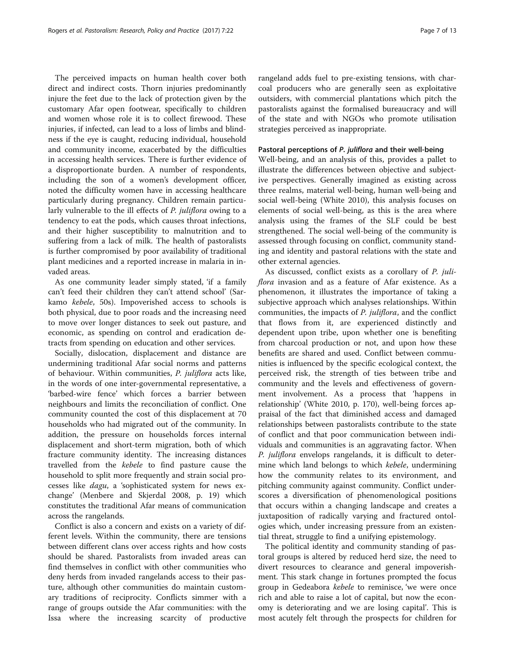The perceived impacts on human health cover both direct and indirect costs. Thorn injuries predominantly injure the feet due to the lack of protection given by the customary Afar open footwear, specifically to children and women whose role it is to collect firewood. These injuries, if infected, can lead to a loss of limbs and blindness if the eye is caught, reducing individual, household and community income, exacerbated by the difficulties in accessing health services. There is further evidence of a disproportionate burden. A number of respondents, including the son of a women's development officer, noted the difficulty women have in accessing healthcare particularly during pregnancy. Children remain particularly vulnerable to the ill effects of P. juliflora owing to a tendency to eat the pods, which causes throat infections, and their higher susceptibility to malnutrition and to suffering from a lack of milk. The health of pastoralists is further compromised by poor availability of traditional plant medicines and a reported increase in malaria in invaded areas.

As one community leader simply stated, 'if a family can't feed their children they can't attend school' (Sarkamo kebele, 50s). Impoverished access to schools is both physical, due to poor roads and the increasing need to move over longer distances to seek out pasture, and economic, as spending on control and eradication detracts from spending on education and other services.

Socially, dislocation, displacement and distance are undermining traditional Afar social norms and patterns of behaviour. Within communities, P. juliflora acts like, in the words of one inter-governmental representative, a 'barbed-wire fence' which forces a barrier between neighbours and limits the reconciliation of conflict. One community counted the cost of this displacement at 70 households who had migrated out of the community. In addition, the pressure on households forces internal displacement and short-term migration, both of which fracture community identity. The increasing distances travelled from the kebele to find pasture cause the household to split more frequently and strain social processes like dagu, a 'sophisticated system for news exchange' (Menbere and Skjerdal [2008](#page-11-0), p. 19) which constitutes the traditional Afar means of communication across the rangelands.

Conflict is also a concern and exists on a variety of different levels. Within the community, there are tensions between different clans over access rights and how costs should be shared. Pastoralists from invaded areas can find themselves in conflict with other communities who deny herds from invaded rangelands access to their pasture, although other communities do maintain customary traditions of reciprocity. Conflicts simmer with a range of groups outside the Afar communities: with the Issa where the increasing scarcity of productive

rangeland adds fuel to pre-existing tensions, with charcoal producers who are generally seen as exploitative outsiders, with commercial plantations which pitch the pastoralists against the formalised bureaucracy and will of the state and with NGOs who promote utilisation strategies perceived as inappropriate.

## Pastoral perceptions of P. juliflora and their well-being

Well-being, and an analysis of this, provides a pallet to illustrate the differences between objective and subjective perspectives. Generally imagined as existing across three realms, material well-being, human well-being and social well-being (White [2010](#page-12-0)), this analysis focuses on elements of social well-being, as this is the area where analysis using the frames of the SLF could be best strengthened. The social well-being of the community is assessed through focusing on conflict, community standing and identity and pastoral relations with the state and other external agencies.

As discussed, conflict exists as a corollary of P. juliflora invasion and as a feature of Afar existence. As a phenomenon, it illustrates the importance of taking a subjective approach which analyses relationships. Within communities, the impacts of P. juliflora, and the conflict that flows from it, are experienced distinctly and dependent upon tribe, upon whether one is benefiting from charcoal production or not, and upon how these benefits are shared and used. Conflict between communities is influenced by the specific ecological context, the perceived risk, the strength of ties between tribe and community and the levels and effectiveness of government involvement. As a process that 'happens in relationship' (White [2010,](#page-12-0) p. 170), well-being forces appraisal of the fact that diminished access and damaged relationships between pastoralists contribute to the state of conflict and that poor communication between individuals and communities is an aggravating factor. When P. *juliflora* envelops rangelands, it is difficult to determine which land belongs to which kebele, undermining how the community relates to its environment, and pitching community against community. Conflict underscores a diversification of phenomenological positions that occurs within a changing landscape and creates a juxtaposition of radically varying and fractured ontologies which, under increasing pressure from an existential threat, struggle to find a unifying epistemology.

The political identity and community standing of pastoral groups is altered by reduced herd size, the need to divert resources to clearance and general impoverishment. This stark change in fortunes prompted the focus group in Gedeabora kebele to reminisce, 'we were once rich and able to raise a lot of capital, but now the economy is deteriorating and we are losing capital'. This is most acutely felt through the prospects for children for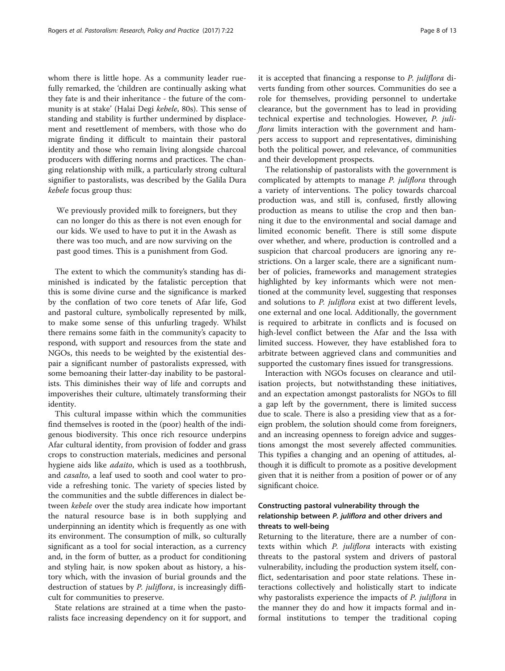whom there is little hope. As a community leader ruefully remarked, the 'children are continually asking what they fate is and their inheritance - the future of the community is at stake' (Halai Degi kebele, 80s). This sense of standing and stability is further undermined by displacement and resettlement of members, with those who do migrate finding it difficult to maintain their pastoral identity and those who remain living alongside charcoal producers with differing norms and practices. The changing relationship with milk, a particularly strong cultural signifier to pastoralists, was described by the Galila Dura kebele focus group thus:

We previously provided milk to foreigners, but they can no longer do this as there is not even enough for our kids. We used to have to put it in the Awash as there was too much, and are now surviving on the past good times. This is a punishment from God.

The extent to which the community's standing has diminished is indicated by the fatalistic perception that this is some divine curse and the significance is marked by the conflation of two core tenets of Afar life, God and pastoral culture, symbolically represented by milk, to make some sense of this unfurling tragedy. Whilst there remains some faith in the community's capacity to respond, with support and resources from the state and NGOs, this needs to be weighted by the existential despair a significant number of pastoralists expressed, with some bemoaning their latter-day inability to be pastoralists. This diminishes their way of life and corrupts and impoverishes their culture, ultimately transforming their identity.

This cultural impasse within which the communities find themselves is rooted in the (poor) health of the indigenous biodiversity. This once rich resource underpins Afar cultural identity, from provision of fodder and grass crops to construction materials, medicines and personal hygiene aids like adaito, which is used as a toothbrush, and casalto, a leaf used to sooth and cool water to provide a refreshing tonic. The variety of species listed by the communities and the subtle differences in dialect between kebele over the study area indicate how important the natural resource base is in both supplying and underpinning an identity which is frequently as one with its environment. The consumption of milk, so culturally significant as a tool for social interaction, as a currency and, in the form of butter, as a product for conditioning and styling hair, is now spoken about as history, a history which, with the invasion of burial grounds and the destruction of statues by *P. juliflora*, is increasingly difficult for communities to preserve.

State relations are strained at a time when the pastoralists face increasing dependency on it for support, and it is accepted that financing a response to P. juliflora diverts funding from other sources. Communities do see a role for themselves, providing personnel to undertake clearance, but the government has to lead in providing technical expertise and technologies. However, P. juliflora limits interaction with the government and hampers access to support and representatives, diminishing both the political power, and relevance, of communities and their development prospects.

The relationship of pastoralists with the government is complicated by attempts to manage P. juliflora through a variety of interventions. The policy towards charcoal production was, and still is, confused, firstly allowing production as means to utilise the crop and then banning it due to the environmental and social damage and limited economic benefit. There is still some dispute over whether, and where, production is controlled and a suspicion that charcoal producers are ignoring any restrictions. On a larger scale, there are a significant number of policies, frameworks and management strategies highlighted by key informants which were not mentioned at the community level, suggesting that responses and solutions to P. juliflora exist at two different levels, one external and one local. Additionally, the government is required to arbitrate in conflicts and is focused on high-level conflict between the Afar and the Issa with limited success. However, they have established fora to arbitrate between aggrieved clans and communities and supported the customary fines issued for transgressions.

Interaction with NGOs focuses on clearance and utilisation projects, but notwithstanding these initiatives, and an expectation amongst pastoralists for NGOs to fill a gap left by the government, there is limited success due to scale. There is also a presiding view that as a foreign problem, the solution should come from foreigners, and an increasing openness to foreign advice and suggestions amongst the most severely affected communities. This typifies a changing and an opening of attitudes, although it is difficult to promote as a positive development given that it is neither from a position of power or of any significant choice.

## Constructing pastoral vulnerability through the relationship between P. juliflora and other drivers and threats to well-being

Returning to the literature, there are a number of contexts within which *P. juliflora* interacts with existing threats to the pastoral system and drivers of pastoral vulnerability, including the production system itself, conflict, sedentarisation and poor state relations. These interactions collectively and holistically start to indicate why pastoralists experience the impacts of *P. juliflora* in the manner they do and how it impacts formal and informal institutions to temper the traditional coping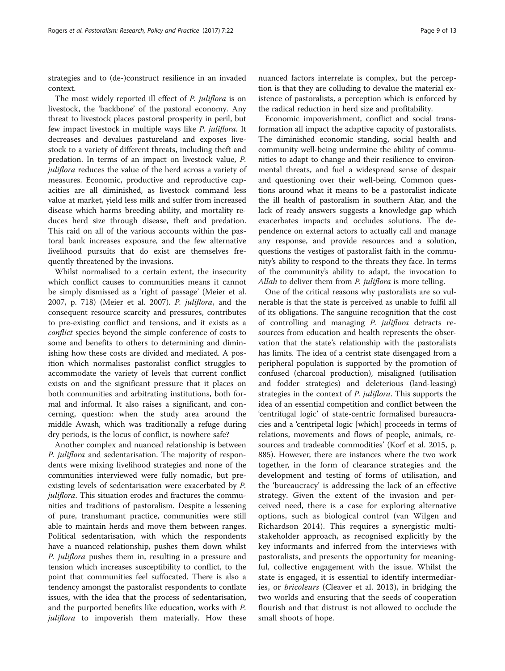strategies and to (de-)construct resilience in an invaded context.

The most widely reported ill effect of *P. juliflora* is on livestock, the 'backbone' of the pastoral economy. Any threat to livestock places pastoral prosperity in peril, but few impact livestock in multiple ways like P. juliflora. It decreases and devalues pastureland and exposes livestock to a variety of different threats, including theft and predation. In terms of an impact on livestock value, P. juliflora reduces the value of the herd across a variety of measures. Economic, productive and reproductive capacities are all diminished, as livestock command less value at market, yield less milk and suffer from increased disease which harms breeding ability, and mortality reduces herd size through disease, theft and predation. This raid on all of the various accounts within the pastoral bank increases exposure, and the few alternative livelihood pursuits that do exist are themselves frequently threatened by the invasions.

Whilst normalised to a certain extent, the insecurity which conflict causes to communities means it cannot be simply dismissed as a 'right of passage' (Meier et al. [2007](#page-11-0), p. 718) (Meier et al. [2007\)](#page-11-0). P. juliflora, and the consequent resource scarcity and pressures, contributes to pre-existing conflict and tensions, and it exists as a conflict species beyond the simple conference of costs to some and benefits to others to determining and diminishing how these costs are divided and mediated. A position which normalises pastoralist conflict struggles to accommodate the variety of levels that current conflict exists on and the significant pressure that it places on both communities and arbitrating institutions, both formal and informal. It also raises a significant, and concerning, question: when the study area around the middle Awash, which was traditionally a refuge during dry periods, is the locus of conflict, is nowhere safe?

Another complex and nuanced relationship is between P. juliflora and sedentarisation. The majority of respondents were mixing livelihood strategies and none of the communities interviewed were fully nomadic, but preexisting levels of sedentarisation were exacerbated by P. juliflora. This situation erodes and fractures the communities and traditions of pastoralism. Despite a lessening of pure, transhumant practice, communities were still able to maintain herds and move them between ranges. Political sedentarisation, with which the respondents have a nuanced relationship, pushes them down whilst P. *juliflora* pushes them in, resulting in a pressure and tension which increases susceptibility to conflict, to the point that communities feel suffocated. There is also a tendency amongst the pastoralist respondents to conflate issues, with the idea that the process of sedentarisation, and the purported benefits like education, works with P. juliflora to impoverish them materially. How these

nuanced factors interrelate is complex, but the perception is that they are colluding to devalue the material existence of pastoralists, a perception which is enforced by the radical reduction in herd size and profitability.

Economic impoverishment, conflict and social transformation all impact the adaptive capacity of pastoralists. The diminished economic standing, social health and community well-being undermine the ability of communities to adapt to change and their resilience to environmental threats, and fuel a widespread sense of despair and questioning over their well-being. Common questions around what it means to be a pastoralist indicate the ill health of pastoralism in southern Afar, and the lack of ready answers suggests a knowledge gap which exacerbates impacts and occludes solutions. The dependence on external actors to actually call and manage any response, and provide resources and a solution, questions the vestiges of pastoralist faith in the community's ability to respond to the threats they face. In terms of the community's ability to adapt, the invocation to Allah to deliver them from P. juliflora is more telling.

One of the critical reasons why pastoralists are so vulnerable is that the state is perceived as unable to fulfil all of its obligations. The sanguine recognition that the cost of controlling and managing P. juliflora detracts resources from education and health represents the observation that the state's relationship with the pastoralists has limits. The idea of a centrist state disengaged from a peripheral population is supported by the promotion of confused (charcoal production), misaligned (utilisation and fodder strategies) and deleterious (land-leasing) strategies in the context of *P. juliflora*. This supports the idea of an essential competition and conflict between the 'centrifugal logic' of state-centric formalised bureaucracies and a 'centripetal logic [which] proceeds in terms of relations, movements and flows of people, animals, resources and tradeable commodities' (Korf et al. [2015](#page-11-0), p. 885). However, there are instances where the two work together, in the form of clearance strategies and the development and testing of forms of utilisation, and the 'bureaucracy' is addressing the lack of an effective strategy. Given the extent of the invasion and perceived need, there is a case for exploring alternative options, such as biological control (van Wilgen and Richardson [2014\)](#page-12-0). This requires a synergistic multistakeholder approach, as recognised explicitly by the key informants and inferred from the interviews with pastoralists, and presents the opportunity for meaningful, collective engagement with the issue. Whilst the state is engaged, it is essential to identify intermediaries, or bricoleurs (Cleaver et al. [2013\)](#page-11-0), in bridging the two worlds and ensuring that the seeds of cooperation flourish and that distrust is not allowed to occlude the small shoots of hope.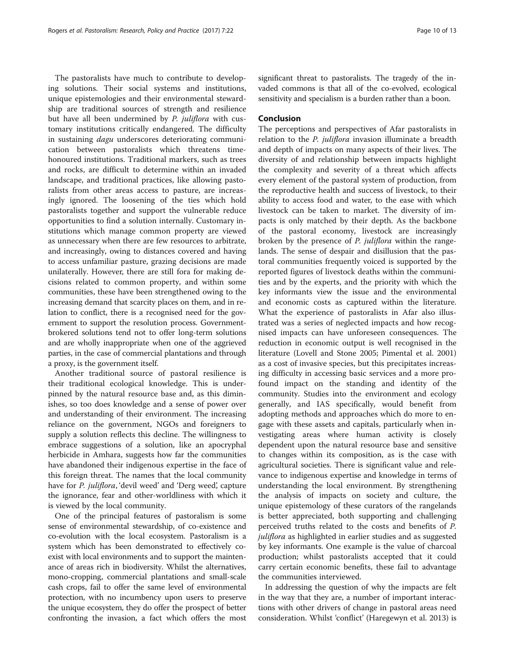The pastoralists have much to contribute to developing solutions. Their social systems and institutions, unique epistemologies and their environmental stewardship are traditional sources of strength and resilience but have all been undermined by P. juliflora with customary institutions critically endangered. The difficulty in sustaining dagu underscores deteriorating communication between pastoralists which threatens timehonoured institutions. Traditional markers, such as trees and rocks, are difficult to determine within an invaded landscape, and traditional practices, like allowing pastoralists from other areas access to pasture, are increasingly ignored. The loosening of the ties which hold pastoralists together and support the vulnerable reduce opportunities to find a solution internally. Customary institutions which manage common property are viewed as unnecessary when there are few resources to arbitrate, and increasingly, owing to distances covered and having to access unfamiliar pasture, grazing decisions are made unilaterally. However, there are still fora for making decisions related to common property, and within some communities, these have been strengthened owing to the increasing demand that scarcity places on them, and in relation to conflict, there is a recognised need for the government to support the resolution process. Governmentbrokered solutions tend not to offer long-term solutions and are wholly inappropriate when one of the aggrieved parties, in the case of commercial plantations and through a proxy, is the government itself.

Another traditional source of pastoral resilience is their traditional ecological knowledge. This is underpinned by the natural resource base and, as this diminishes, so too does knowledge and a sense of power over and understanding of their environment. The increasing reliance on the government, NGOs and foreigners to supply a solution reflects this decline. The willingness to embrace suggestions of a solution, like an apocryphal herbicide in Amhara, suggests how far the communities have abandoned their indigenous expertise in the face of this foreign threat. The names that the local community have for *P. juliflora*, 'devil weed' and 'Derg weed', capture the ignorance, fear and other-worldliness with which it is viewed by the local community.

One of the principal features of pastoralism is some sense of environmental stewardship, of co-existence and co-evolution with the local ecosystem. Pastoralism is a system which has been demonstrated to effectively coexist with local environments and to support the maintenance of areas rich in biodiversity. Whilst the alternatives, mono-cropping, commercial plantations and small-scale cash crops, fail to offer the same level of environmental protection, with no incumbency upon users to preserve the unique ecosystem, they do offer the prospect of better confronting the invasion, a fact which offers the most

significant threat to pastoralists. The tragedy of the invaded commons is that all of the co-evolved, ecological sensitivity and specialism is a burden rather than a boon.

## Conclusion

The perceptions and perspectives of Afar pastoralists in relation to the P. juliflora invasion illuminate a breadth and depth of impacts on many aspects of their lives. The diversity of and relationship between impacts highlight the complexity and severity of a threat which affects every element of the pastoral system of production, from the reproductive health and success of livestock, to their ability to access food and water, to the ease with which livestock can be taken to market. The diversity of impacts is only matched by their depth. As the backbone of the pastoral economy, livestock are increasingly broken by the presence of *P. juliflora* within the rangelands. The sense of despair and disillusion that the pastoral communities frequently voiced is supported by the reported figures of livestock deaths within the communities and by the experts, and the priority with which the key informants view the issue and the environmental and economic costs as captured within the literature. What the experience of pastoralists in Afar also illustrated was a series of neglected impacts and how recognised impacts can have unforeseen consequences. The reduction in economic output is well recognised in the literature (Lovell and Stone [2005](#page-11-0); Pimental et al. [2001](#page-11-0)) as a cost of invasive species, but this precipitates increasing difficulty in accessing basic services and a more profound impact on the standing and identity of the community. Studies into the environment and ecology generally, and IAS specifically, would benefit from adopting methods and approaches which do more to engage with these assets and capitals, particularly when investigating areas where human activity is closely dependent upon the natural resource base and sensitive to changes within its composition, as is the case with agricultural societies. There is significant value and relevance to indigenous expertise and knowledge in terms of understanding the local environment. By strengthening the analysis of impacts on society and culture, the unique epistemology of these curators of the rangelands is better appreciated, both supporting and challenging perceived truths related to the costs and benefits of P. juliflora as highlighted in earlier studies and as suggested by key informants. One example is the value of charcoal production; whilst pastoralists accepted that it could carry certain economic benefits, these fail to advantage the communities interviewed.

In addressing the question of why the impacts are felt in the way that they are, a number of important interactions with other drivers of change in pastoral areas need consideration. Whilst 'conflict' (Haregewyn et al. [2013](#page-11-0)) is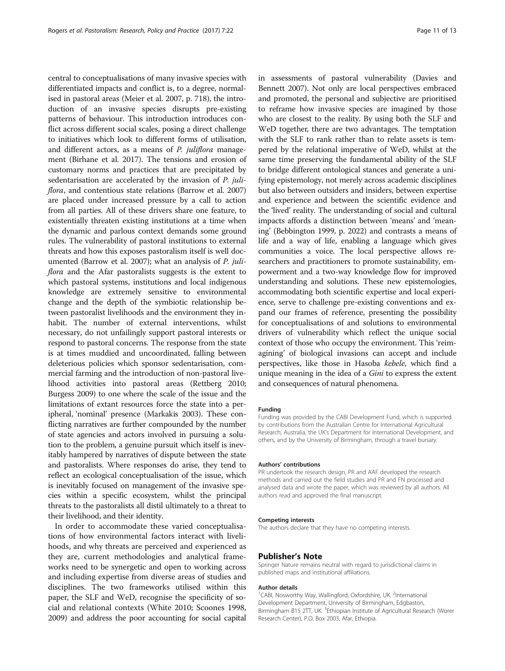central to conceptualisations of many invasive species with differentiated impacts and conflict is, to a degree, normalised in pastoral areas (Meier et al. [2007,](#page-11-0) p. 718), the introduction of an invasive species disrupts pre-existing patterns of behaviour. This introduction introduces conflict across different social scales, posing a direct challenge to initiatives which look to different forms of utilisation, and different actors, as a means of *P. juliflora* management (Birhane et al. [2017\)](#page-11-0). The tensions and erosion of customary norms and practices that are precipitated by sedentarisation are accelerated by the invasion of P. juli-flora, and contentious state relations (Barrow et al. [2007](#page-11-0)) are placed under increased pressure by a call to action from all parties. All of these drivers share one feature, to existentially threaten existing institutions at a time when the dynamic and parlous context demands some ground rules. The vulnerability of pastoral institutions to external threats and how this exposes pastoralism itself is well documented (Barrow et al. [2007\)](#page-11-0); what an analysis of P. juliflora and the Afar pastoralists suggests is the extent to which pastoral systems, institutions and local indigenous knowledge are extremely sensitive to environmental change and the depth of the symbiotic relationship between pastoralist livelihoods and the environment they inhabit. The number of external interventions, whilst necessary, do not unfailingly support pastoral interests or respond to pastoral concerns. The response from the state is at times muddied and uncoordinated, falling between deleterious policies which sponsor sedentarisation, commercial farming and the introduction of non-pastoral livelihood activities into pastoral areas (Rettberg [2010](#page-12-0); Burgess [2009\)](#page-11-0) to one where the scale of the issue and the limitations of extant resources force the state into a peripheral, 'nominal' presence (Markakis [2003](#page-11-0)). These conflicting narratives are further compounded by the number of state agencies and actors involved in pursuing a solution to the problem, a genuine pursuit which itself is inevitably hampered by narratives of dispute between the state and pastoralists. Where responses do arise, they tend to reflect an ecological conceptualisation of the issue, which is inevitably focused on management of the invasive species within a specific ecosystem, whilst the principal threats to the pastoralists all distil ultimately to a threat to their livelihood, and their identity.

In order to accommodate these varied conceptualisations of how environmental factors interact with livelihoods, and why threats are perceived and experienced as they are, current methodologies and analytical frameworks need to be synergetic and open to working across and including expertise from diverse areas of studies and disciplines. The two frameworks utilised within this paper, the SLF and WeD, recognise the specificity of social and relational contexts (White [2010;](#page-12-0) Scoones [1998](#page-12-0), [2009](#page-12-0)) and address the poor accounting for social capital in assessments of pastoral vulnerability (Davies and Bennett [2007](#page-11-0)). Not only are local perspectives embraced and promoted, the personal and subjective are prioritised to reframe how invasive species are imagined by those who are closest to the reality. By using both the SLF and WeD together, there are two advantages. The temptation with the SLF to rank rather than to relate assets is tempered by the relational imperative of WeD, whilst at the same time preserving the fundamental ability of the SLF to bridge different ontological stances and generate a unifying epistemology, not merely across academic disciplines but also between outsiders and insiders, between expertise and experience and between the scientific evidence and the 'lived' reality. The understanding of social and cultural impacts affords a distinction between 'means' and 'meaning' (Bebbington [1999](#page-11-0), p. 2022) and contrasts a means of life and a way of life, enabling a language which gives communities a voice. The local perspective allows researchers and practitioners to promote sustainability, empowerment and a two-way knowledge flow for improved understanding and solutions. These new epistemologies, accommodating both scientific expertise and local experience, serve to challenge pre-existing conventions and expand our frames of reference, presenting the possibility for conceptualisations of and solutions to environmental drivers of vulnerability which reflect the unique social context of those who occupy the environment. This 'reimagining' of biological invasions can accept and include perspectives, like those in Hasoba kebele, which find a unique meaning in the idea of a *Gini* to express the extent and consequences of natural phenomena.

#### Funding

Funding was provided by the CABI Development Fund, which is supported by contributions from the Australian Centre for International Agricultural Research, Australia, the UK's Department for International Development, and others, and by the University of Birmingham, through a travel bursary.

#### Authors' contributions

PR undertook the research design, PR and AAF developed the research methods and carried out the field studies and PR and FN processed and analysed data and wrote the paper, which was reviewed by all authors. All authors read and approved the final manuscript.

#### Competing interests

The authors declare that they have no competing interests.

#### Publisher's Note

Springer Nature remains neutral with regard to jurisdictional claims in published maps and institutional affiliations.

#### Author details

<sup>1</sup>CABI, Nosworthy Way, Wallingford, Oxfordshire, UK.<sup>2</sup>International Development Department, University of Birmingham, Edgbaston, Birmingham B15 2TT, UK. <sup>3</sup> Ethiopian Institute of Agricultural Research (Worer Research Center), P.O. Box 2003, Afar, Ethiopia.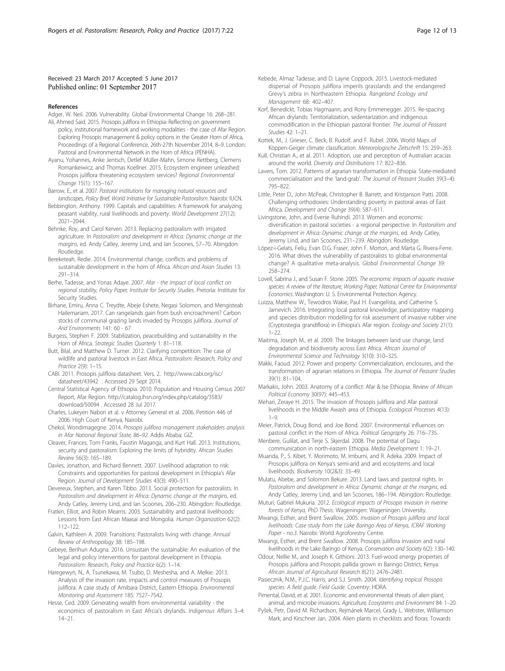#### <span id="page-11-0"></span>Received: 23 March 2017 Accepted: 5 June 2017 Published online: 01 September 2017

#### References

- Adger, W. Neil. 2006. Vulnerability. Global Environmental Change 16: 268–281.
- Ali, Ahmed Said. 2015. Prosopis juliflora in Ethiopia: Reflecting on government policy, institutional framework and working modalities - the case of Afar Region. Exploring Prosopis management & policy options in the Greater Horn of Africa, Proceedings of a Regional Conference, 26th-27th November 2014, 8–9. London: Pastoral and Environmental Network in the Horn of Africa (PENHA).
- Ayanu, Yohannes, Anke Jentsch, Detlef Müller-Mahn, Simone Rettberg, Clemens Romankeiwicz, and Thomas Koellner. 2015. Ecosystem engineer unleashed: Prosopis juliflora threatening ecosystem services? Regional Environmental Change 15(1): 155–167.
- Barrow, E., et al. 2007. Pastoral institutions for managing natural resources and landscapes, Policy Brief, World Initiative for Sustainable Pastoralism. Nairobi: IUCN.
- Bebbington, Anthony. 1999. Capitals and capabilities: A framework for analyzing peasant viability, rural livelihoods and poverty. World Development 27(12): 2021–2044.
- Behnke, Roy, and Carol Kerven. 2013. Replacing pastoralism with irrigated agriculture. In Pastoralism and development in Africa: Dynamic change at the margins, ed. Andy Catley, Jeremy Lind, and Ian Scoones, 57–70. Abingdon: Routledge.
- Bereketeah, Redie. 2014. Environmental change, conflicts and problems of sustainable development in the horn of Africa. African and Asian Studies 13: 291–314.
- Berhe, Tadesse, and Yonas Adaye. 2007. Afar the impact of local conflict on regional stability, Policy Paper, Institute for Security Studies. Pretoria: Institute for Security Studies.
- Birhane, Emiru, Anna C. Treydte, Abeje Eshete, Negasi Solomon, and Mengisteab Hailemariam. 2017. Can rangelands gain from bush encroachment? Carbon stocks of communal grazing lands invaded by Prosopis juliflora. Journal of Arid Environments 141: 60 - 67
- Burgess, Stephen F. 2009. Stabilization, peacebuilding and sustainability in the Horn of Africa. Strategic Studies Quarterly 1: 81–118.
- Butt, Bilal, and Matthew D. Turner. 2012. Clarifying competition: The case of wildlife and pastoral livestock in East Africa. Pastoralism: Research, Policy and Practice 2(9): 1–15.
- CABI. 2011. Prosopis juliflora datasheet. Vers. 2. [http://www.cabi.org/isc/](http://www.cabi.org/isc/datasheet/43942) [datasheet/43942](http://www.cabi.org/isc/datasheet/43942) . Accessed 29 Sept 2014.
- Central Statistical Agency of Ethiopia. 2010. Population and Housing Census 2007 Report, Afar Region. [http://catalog.ihsn.org/index.php/catalog/3583/](http://catalog.ihsn.org/index.php/catalog/3583/download/50094) [download/50094](http://catalog.ihsn.org/index.php/catalog/3583/download/50094) . Accessed 28 Jul 2017.
- Charles, Lukeyen Nabori et al. v Attorney General et al. 2006. Petition 446 of 2006. High Court of Kenya, Nairobi.
- Chekol, Wondimagegne. 2014. Prosopis juliflora management stakeholders analysis in Afar National Regional State, 86–92. Addis Ababa: GIZ.
- Cleaver, Frances, Tom Franks, Faustin Maganga, and Kurt Hall. 2013. Institutions, security and pastoralism: Exploring the limits of hybridity. African Studies Review 56(3): 165–189.
- Davies, Jonathon, and Richard Bennett. 2007. Livelihood adaptation to risk: Constraints and opportunities for pastoral development in Ethiopia's Afar Region. Journal of Development Studies 43(3): 490–511.
- Devereux, Stephen, and Karen Tibbo. 2013. Social protection for pastoralists. In Pastoralism and development in Africa: Dynamic change at the margins, ed. Andy Catley, Jeremy Lind, and Ian Scoones, 206–230. Abingdon: Routledge.
- Fratkin, Elliot, and Robin Mearns. 2003. Sustainability and pastoral livelihoods: Lessons from East African Maasai and Mongolia. Human Organization 62(2): 112–122.
- Galvin, Kathleen A. 2009. Transitions: Pastoralists living with change. Annual Review of Anthropology 38: 185–198.
- Gebeye, Berihun Adugna. 2016. Unsustain the sustainable: An evaluation of the legal and policy interventions for pastoral development in Ethiopia. Pastoralism: Research, Policy and Practice 6(2): 1–14.
- Haregewyn, N., A. Tsunekawa, M. Tsubo, D. Meshesha, and A. Melkie. 2013. Analysis of the invasion rate, impacts and control measures of Prosopis juliflora: A case study of Amibara District, Eastern Ethiopia. Environmental Monitoring and Assessment 185: 7527–7542.
- Hesse, Ced. 2009. Generating wealth from environmental variability the economics of pastoralism in East Afrcia's drylands. Indigenous Affairs 3–4: 14–21.
- Kebede, Almaz Tadesse, and D. Layne Coppock. 2015. Livestock-mediated dispersal of Prosopis juliflora imperils grasslands and the endangered Grevy's zebra in Northeastern Ethiopia. Rangeland Ecology and Management 68: 402–407.
- Korf, Benedickt, Tobias Hagmaann, and Rony Emmenegger. 2015. Re-spacing African drylands: Territorialization, sedentarization and indigenous commodification in the Ethiopian pastoral frontier. The Journal of Peasant Studies 42: 1–21.
- Kottek, M., J. Grieser, C. Beck, B. Rudolf, and F. Rubel. 2006. World Maps of Köppen-Geiger climate classification. Meteorologische Zeitschrift 15: 259–263.
- Kull, Christian A., et al. 2011. Adoption, use and perception of Australian acacias around the world. Diversity and Distributions 17: 822–836.
- Lavers, Tom. 2012. Patterns of agrarian transformation in Ethiopia: State-mediated commercialisation and the 'land-grab'. The Journal of Peasant Studies 39(3–4): 795–822.
- Little, Peter D., John McPeak, Christopher B. Barrett, and Kristjanson Patti. 2008. Challenging orthodoxies: Understanding poverty in pastoral areas of East Africa. Development and Change 39(4): 587–611.
- Livingstone, John, and Everse Ruhindi. 2013. Women and economic diversification in pastoral societies - a regional perspective. In Pastoralism and development in Africa: Dynamic change at the margins, ed. Andy Catley, Jeremy Lind, and Ian Scoones, 231–239. Abingdon: Routledge.
- López-i-Gelats, Feliu, Evan D.G. Fraser, John F. Morton, and Marta G. Rivera-Ferre. 2016. What drives the vulnerability of pastoralists to global environmental change? A qualitative meta-analysis. Global Environmental Change 39: 258–274.
- Lovell, Sabrina J., and Susan F. Stone. 2005. The economic impacts of aquatic invasive species: A review of the literature, Working Paper, National Centre for Environmental Economics. Washington: U. S. Environmental Protection Agency.
- Luizza, Matthew W., Tewodros Wakie, Paul H. Evangelista, and Catherine S. Jarnevich. 2016. Integrating local pastoral knowledge, participatory mapping and species distribution modelling for risk assessment of invasive rubber vine (Cryptostegia grandiflora) in Ethiopia's Afar region. Ecology and Society 21(1):  $1 - 22$ .
- Maitima, Joseph M., et al. 2009. The linkages between land use change, land degradation and biodiversity across East Africa. African Journal of Environmental Science and Technology 3(10): 310–325.
- Makki, Faoud. 2012. Power and property: Commercialization, enclosures, and the transformation of agrarian relations in Ethiopia. The Journal of Peasant Studies 39(1): 81–104.
- Markakis, John. 2003. Anatomy of a conflict: Afar & Ise Ethiopia. Review of African Political Economy 30(97): 445-453.
- Mehari, Zeraye H. 2015. The invasion of Prosopis juliflora and Afar pastoral livelihoods in the Middle Awash area of Ethiopia. Ecological Processes 4(13): 1–9.
- Meier, Patrick, Doug Bond, and Joe Bond. 2007. Environmental influences on pastoral conflict in the Horn of Africa. Political Geography 26: 716–735.
- Menbere, Gulilat, and Terje S. Skjerdal. 2008. The potential of Dagu communication in north-eastern Ethiopia. Media Development 1: 19–21.
- Muanda, P., S. Kibet, Y. Morimoto, M. Imbumi, and R. Adeka. 2009. Impact of Prosopis juliflora on Kenya's semi-arid and arid ecosystems and local livelihoods. Biodiversity 10(2&3): 33–49.

Mulatu, Abebe, and Solomon Bekure. 2013. Land laws and pastoral rights. In Pastoralism and development in Africa: Dynamic change at the margins, ed. Andy Catley, Jeremy Lind, and Ian Scoones, 186–194. Abingdon: Routledge.

- Muturi, Gabriel Mukuria. 2012. Ecological impacts of Prosopis invasion in riverine forests of Kenya, PhD Thesis. Wageningen: Wageningen University.
- Mwangi, Esther, and Brent Swallow. 2005. Invasion of Prosopis juliflora and local livelihoods: Case study from the Lake Baringo Area of Kenya, ICRAF Working Paper - no.3. Nairobi: World Agroforestry Centre.
- Mwangi, Esther, and Brent Swallow. 2008. Prosopis juliflora invasion and rural livelihoods in the Lake Baringo of Kenya. Conservation and Society 6(2): 130–140.
- Odour, Nellie M., and Joseph K. Githioni. 2013. Fuel-wood energy properties of Prosopis juliflora and Prosopis pallida grown in Baringo District, Kenya. African Journal of Agricultural Research 8(21): 2476–2481.
- Pasiecznik, N.M., P.J.C. Harris, and S.J. Smith. 2004. Identifying tropical Prosopis species: A field guide. Field Guide. Coventry: HDRA.
- Pimental, David, et al. 2001. Economic and environmental threats of alien plant, animal, and microbe invasions. Agriculture, Ecosystems and Environment 84: 1–20.
- Pyšek, Petr, David M. Richardson, Rejmánek Marcel, Grady L. Webster, Williamson Mark, and Kirschner Jan. 2004. Alien plants in checklists and floras: Towards